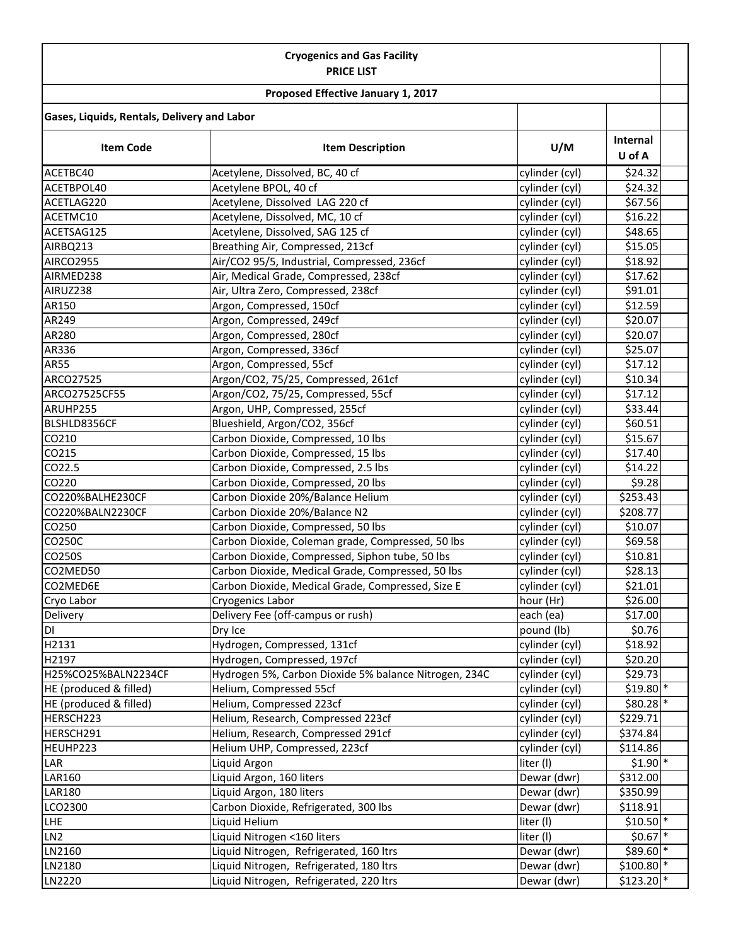| <b>Cryogenics and Gas Facility</b><br><b>PRICE LIST</b><br>Proposed Effective January 1, 2017 |                                                       |                |                        |  |  |
|-----------------------------------------------------------------------------------------------|-------------------------------------------------------|----------------|------------------------|--|--|
|                                                                                               |                                                       |                |                        |  |  |
| <b>Item Code</b>                                                                              | <b>Item Description</b>                               | U/M            | Internal<br>U of A     |  |  |
| ACETBC40                                                                                      | Acetylene, Dissolved, BC, 40 cf                       | cylinder (cyl) | \$24.32                |  |  |
| ACETBPOL40                                                                                    | Acetylene BPOL, 40 cf                                 | cylinder (cyl) | \$24.32                |  |  |
| ACETLAG220                                                                                    | Acetylene, Dissolved LAG 220 cf                       | cylinder (cyl) | \$67.56                |  |  |
| ACETMC10                                                                                      | Acetylene, Dissolved, MC, 10 cf                       | cylinder (cyl) | \$16.22                |  |  |
| ACETSAG125                                                                                    | Acetylene, Dissolved, SAG 125 cf                      | cylinder (cyl) | \$48.65                |  |  |
| AIRBQ213                                                                                      | Breathing Air, Compressed, 213cf                      | cylinder (cyl) | \$15.05                |  |  |
| <b>AIRCO2955</b>                                                                              | Air/CO2 95/5, Industrial, Compressed, 236cf           | cylinder (cyl) | \$18.92                |  |  |
| AIRMED238                                                                                     | Air, Medical Grade, Compressed, 238cf                 | cylinder (cyl) | \$17.62                |  |  |
| AIRUZ238                                                                                      | Air, Ultra Zero, Compressed, 238cf                    | cylinder (cyl) | \$91.01                |  |  |
| AR150                                                                                         | Argon, Compressed, 150cf                              | cylinder (cyl) | \$12.59                |  |  |
| AR249                                                                                         | Argon, Compressed, 249cf                              | cylinder (cyl) | \$20.07                |  |  |
| AR280                                                                                         | Argon, Compressed, 280cf                              | cylinder (cyl) | \$20.07                |  |  |
| AR336                                                                                         | Argon, Compressed, 336cf                              | cylinder (cyl) | \$25.07                |  |  |
| <b>AR55</b>                                                                                   | Argon, Compressed, 55cf                               | cylinder (cyl) | \$17.12                |  |  |
| ARCO27525                                                                                     | Argon/CO2, 75/25, Compressed, 261cf                   | cylinder (cyl) | \$10.34                |  |  |
| ARCO27525CF55                                                                                 | Argon/CO2, 75/25, Compressed, 55cf                    | cylinder (cyl) | \$17.12                |  |  |
| ARUHP255                                                                                      | Argon, UHP, Compressed, 255cf                         | cylinder (cyl) | \$33.44                |  |  |
| BLSHLD8356CF                                                                                  | Blueshield, Argon/CO2, 356cf                          | cylinder (cyl) | \$60.51                |  |  |
| CO210                                                                                         | Carbon Dioxide, Compressed, 10 lbs                    | cylinder (cyl) | \$15.67                |  |  |
| CO215                                                                                         | Carbon Dioxide, Compressed, 15 lbs                    | cylinder (cyl) | \$17.40                |  |  |
| CO22.5                                                                                        | Carbon Dioxide, Compressed, 2.5 lbs                   | cylinder (cyl) | \$14.22                |  |  |
| CO220                                                                                         | Carbon Dioxide, Compressed, 20 lbs                    | cylinder (cyl) | \$9.28                 |  |  |
| CO220%BALHE230CF                                                                              | Carbon Dioxide 20%/Balance Helium                     | cylinder (cyl) | \$253.43               |  |  |
| CO220%BALN2230CF                                                                              | Carbon Dioxide 20%/Balance N2                         | cylinder (cyl) | \$208.77               |  |  |
| CO250                                                                                         | Carbon Dioxide, Compressed, 50 lbs                    | cylinder (cyl) | \$10.07                |  |  |
| CO250C                                                                                        | Carbon Dioxide, Coleman grade, Compressed, 50 lbs     | cylinder (cyl) | \$69.58                |  |  |
| CO250S                                                                                        | Carbon Dioxide, Compressed, Siphon tube, 50 lbs       | cylinder (cyl) | \$10.81                |  |  |
| CO2MED50                                                                                      | Carbon Dioxide, Medical Grade, Compressed, 50 lbs     | cylinder (cyl) | \$28.13                |  |  |
| CO2MED6E                                                                                      | Carbon Dioxide, Medical Grade, Compressed, Size E     | cylinder (cyl) | \$21.01                |  |  |
| Cryo Labor                                                                                    | Cryogenics Labor                                      | hour (Hr)      | \$26.00                |  |  |
| Delivery                                                                                      | Delivery Fee (off-campus or rush)                     | each (ea)      | \$17.00                |  |  |
| DI                                                                                            | Dry Ice                                               | pound (lb)     | \$0.76                 |  |  |
| H2131                                                                                         | Hydrogen, Compressed, 131cf                           | cylinder (cyl) | \$18.92                |  |  |
| H2197                                                                                         | Hydrogen, Compressed, 197cf                           | cylinder (cyl) | \$20.20                |  |  |
| H25%CO25%BALN2234CF                                                                           | Hydrogen 5%, Carbon Dioxide 5% balance Nitrogen, 234C | cylinder (cyl) | \$29.73                |  |  |
| HE (produced & filled)                                                                        | Helium, Compressed 55cf                               | cylinder (cyl) | $$19.80$ *             |  |  |
| HE (produced & filled)                                                                        | Helium, Compressed 223cf                              | cylinder (cyl) | $$80.28$ *             |  |  |
| HERSCH223                                                                                     | Helium, Research, Compressed 223cf                    | cylinder (cyl) | \$229.71               |  |  |
| HERSCH291                                                                                     | Helium, Research, Compressed 291cf                    | cylinder (cyl) | \$374.84               |  |  |
| HEUHP223                                                                                      | Helium UHP, Compressed, 223cf                         | cylinder (cyl) | \$114.86               |  |  |
| LAR                                                                                           | Liquid Argon                                          | liter (I)      | $$1.90$ *              |  |  |
| LAR160                                                                                        | Liquid Argon, 160 liters                              | Dewar (dwr)    | \$312.00               |  |  |
| <b>LAR180</b>                                                                                 | Liquid Argon, 180 liters                              | Dewar (dwr)    | \$350.99               |  |  |
| LCO2300                                                                                       | Carbon Dioxide, Refrigerated, 300 lbs                 | Dewar (dwr)    | \$118.91               |  |  |
| LHE                                                                                           | Liquid Helium                                         | liter (I)      | $$10.50$ <sup>*</sup>  |  |  |
| LN <sub>2</sub>                                                                               | Liquid Nitrogen <160 liters                           | liter (I)      | $$0.67$ *              |  |  |
| LN2160                                                                                        | Liquid Nitrogen, Refrigerated, 160 ltrs               | Dewar (dwr)    | $$89.60$ *             |  |  |
| LN2180                                                                                        | Liquid Nitrogen, Refrigerated, 180 ltrs               | Dewar (dwr)    | $$100.80$ <sup>*</sup> |  |  |
| LN2220                                                                                        | Liquid Nitrogen, Refrigerated, 220 ltrs               | Dewar (dwr)    | $$123.20$ <sup>*</sup> |  |  |